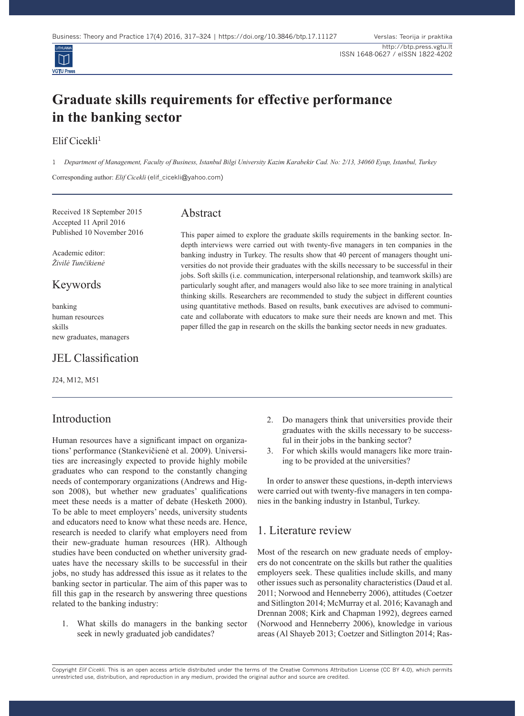

# **Graduate skills requirements for effective performance in the banking sector**

### Elif Cicekli<sup>1</sup>

1 *Department of Management, Faculty of Business, Istanbul Bilgi University Kazim Karabekir Cad. No: 2/13, 34060 Eyup, Istanbul, Turkey*

Corresponding author: *Elif Cicekli* (elif\_cicekli@yahoo.com)

Received 18 September 2015 Accepted 11 April 2016 Published 10 November 2016

Academic editor: *Živilė Tunčikienė*

### Keywords

banking human resources skills new graduates, managers

### JEL Classification

J24, M12, M51

## Introduction

Human resources have a significant impact on organizations' performance (Stankevičienė et al. 2009). Universities are increasingly expected to provide highly mobile graduates who can respond to the constantly changing needs of contemporary organizations (Andrews and Higson 2008), but whether new graduates' qualifications meet these needs is a matter of debate (Hesketh 2000). To be able to meet employers' needs, university students and educators need to know what these needs are. Hence, research is needed to clarify what employers need from their new-graduate human resources (HR). Although studies have been conducted on whether university graduates have the necessary skills to be successful in their jobs, no study has addressed this issue as it relates to the banking sector in particular. The aim of this paper was to fill this gap in the research by answering three questions related to the banking industry:

1. What skills do managers in the banking sector seek in newly graduated job candidates?

### Abstract

This paper aimed to explore the graduate skills requirements in the banking sector. Indepth interviews were carried out with twenty-five managers in ten companies in the banking industry in Turkey. The results show that 40 percent of managers thought universities do not provide their graduates with the skills necessary to be successful in their jobs. Soft skills (i.e. communication, interpersonal relationship, and teamwork skills) are particularly sought after, and managers would also like to see more training in analytical thinking skills. Researchers are recommended to study the subject in different counties using quantitative methods. Based on results, bank executives are advised to communicate and collaborate with educators to make sure their needs are known and met. This paper filled the gap in research on the skills the banking sector needs in new graduates.

- 2. Do managers think that universities provide their graduates with the skills necessary to be successful in their jobs in the banking sector?
- 3. For which skills would managers like more training to be provided at the universities?

In order to answer these questions, in-depth interviews were carried out with twenty-five managers in ten companies in the banking industry in Istanbul, Turkey.

### 1. Literature review

Most of the research on new graduate needs of employers do not concentrate on the skills but rather the qualities employers seek. These qualities include skills, and many other issues such as personality characteristics (Daud et al. 2011; Norwood and Henneberry 2006), attitudes (Coetzer and Sitlington 2014; McMurray et al. 2016; Kavanagh and Drennan 2008; Kirk and Chapman 1992), degrees earned (Norwood and Henneberry 2006), knowledge in various areas (Al Shayeb 2013; Coetzer and Sitlington 2014; Ras-

Copyright *Elif Cicekli.* This is an open access article distributed under the terms of the Creative Commons Attribution License (CC BY 4.0), which permits unrestricted use, distribution, and reproduction in any medium, provided the original author and source are credited.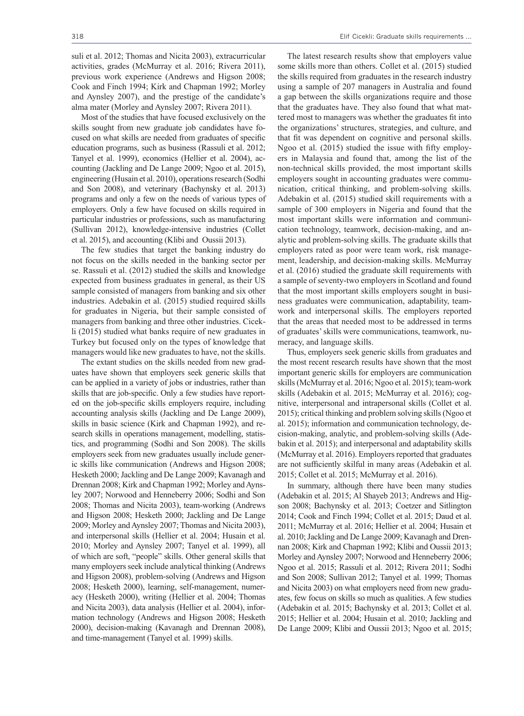suli et al. 2012; Thomas and Nicita 2003), extracurricular activities, grades (McMurray et al. 2016; Rivera 2011), previous work experience (Andrews and Higson 2008; Cook and Finch 1994; Kirk and Chapman 1992; Morley and Aynsley 2007), and the prestige of the candidate's alma mater (Morley and Aynsley 2007; Rivera 2011).

Most of the studies that have focused exclusively on the skills sought from new graduate job candidates have focused on what skills are needed from graduates of specific education programs, such as business (Rassuli et al. 2012; Tanyel et al. 1999), economics (Hellier et al. 2004), accounting (Jackling and De Lange 2009; Ngoo et al. 2015), engineering (Husain et al. 2010), operations research (Sodhi and Son 2008), and veterinary (Bachynsky et al. 2013) programs and only a few on the needs of various types of employers. Only a few have focused on skills required in particular industries or professions, such as manufacturing (Sullivan 2012), knowledge-intensive industries (Collet et al. 2015), and accounting (Klibi and Oussii 2013).

The few studies that target the banking industry do not focus on the skills needed in the banking sector per se. Rassuli et al. (2012) studied the skills and knowledge expected from business graduates in general, as their US sample consisted of managers from banking and six other industries. Adebakin et al. (2015) studied required skills for graduates in Nigeria, but their sample consisted of managers from banking and three other industries. Cicekli (2015) studied what banks require of new graduates in Turkey but focused only on the types of knowledge that managers would like new graduates to have, not the skills.

The extant studies on the skills needed from new graduates have shown that employers seek generic skills that can be applied in a variety of jobs or industries, rather than skills that are job-specific. Only a few studies have reported on the job-specific skills employers require, including accounting analysis skills (Jackling and De Lange 2009), skills in basic science (Kirk and Chapman 1992), and research skills in operations management, modelling, statistics, and programming (Sodhi and Son 2008). The skills employers seek from new graduates usually include generic skills like communication (Andrews and Higson 2008; Hesketh 2000; Jackling and De Lange 2009; Kavanagh and Drennan 2008; Kirk and Chapman 1992; Morley and Aynsley 2007; Norwood and Henneberry 2006; Sodhi and Son 2008; Thomas and Nicita 2003), team-working (Andrews and Higson 2008; Hesketh 2000; Jackling and De Lange 2009; Morley and Aynsley 2007; Thomas and Nicita 2003), and interpersonal skills (Hellier et al. 2004; Husain et al. 2010; Morley and Aynsley 2007; Tanyel et al. 1999), all of which are soft, "people" skills. Other general skills that many employers seek include analytical thinking (Andrews and Higson 2008), problem-solving (Andrews and Higson 2008; Hesketh 2000), learning, self-management, numeracy (Hesketh 2000), writing (Hellier et al. 2004; Thomas and Nicita 2003), data analysis (Hellier et al. 2004), information technology (Andrews and Higson 2008; Hesketh 2000), decision-making (Kavanagh and Drennan 2008), and time-management (Tanyel et al. 1999) skills.

The latest research results show that employers value some skills more than others. Collet et al. (2015) studied the skills required from graduates in the research industry using a sample of 207 managers in Australia and found a gap between the skills organizations require and those that the graduates have. They also found that what mattered most to managers was whether the graduates fit into the organizations' structures, strategies, and culture, and that fit was dependent on cognitive and personal skills. Ngoo et al. (2015) studied the issue with fifty employers in Malaysia and found that, among the list of the non-technical skills provided, the most important skills employers sought in accounting graduates were communication, critical thinking, and problem-solving skills. Adebakin et al. (2015) studied skill requirements with a sample of 300 employers in Nigeria and found that the most important skills were information and communication technology, teamwork, decision-making, and analytic and problem-solving skills. The graduate skills that employers rated as poor were team work, risk management, leadership, and decision-making skills. McMurray et al. (2016) studied the graduate skill requirements with a sample of seventy-two employers in Scotland and found that the most important skills employers sought in business graduates were communication, adaptability, teamwork and interpersonal skills. The employers reported that the areas that needed most to be addressed in terms of graduates' skills were communications, teamwork, numeracy, and language skills.

Thus, employers seek generic skills from graduates and the most recent research results have shown that the most important generic skills for employers are communication skills (McMurray et al. 2016; Ngoo et al. 2015); team-work skills (Adebakin et al. 2015; McMurray et al. 2016); cognitive, interpersonal and intrapersonal skills (Collet et al. 2015); critical thinking and problem solving skills (Ngoo et al. 2015); information and communication technology, decision-making, analytic, and problem-solving skills (Adebakin et al. 2015); and interpersonal and adaptability skills (McMurray et al. 2016). Employers reported that graduates are not sufficiently skilful in many areas (Adebakin et al. 2015; Collet et al. 2015; McMurray et al. 2016).

In summary, although there have been many studies (Adebakin et al. 2015; Al Shayeb 2013; Andrews and Higson 2008; Bachynsky et al. 2013; Coetzer and Sitlington 2014; Cook and Finch 1994; Collet et al. 2015; Daud et al. 2011; McMurray et al. 2016; Hellier et al. 2004; Husain et al. 2010; Jackling and De Lange 2009; Kavanagh and Drennan 2008; Kirk and Chapman 1992; Klibi and Oussii 2013; Morley and Aynsley 2007; Norwood and Henneberry 2006; Ngoo et al. 2015; Rassuli et al. 2012; Rivera 2011; Sodhi and Son 2008; Sullivan 2012; Tanyel et al. 1999; Thomas and Nicita 2003) on what employers need from new graduates, few focus on skills so much as qualities. A few studies (Adebakin et al. 2015; Bachynsky et al. 2013; Collet et al. 2015; Hellier et al. 2004; Husain et al. 2010; Jackling and De Lange 2009; Klibi and Oussii 2013; Ngoo et al. 2015;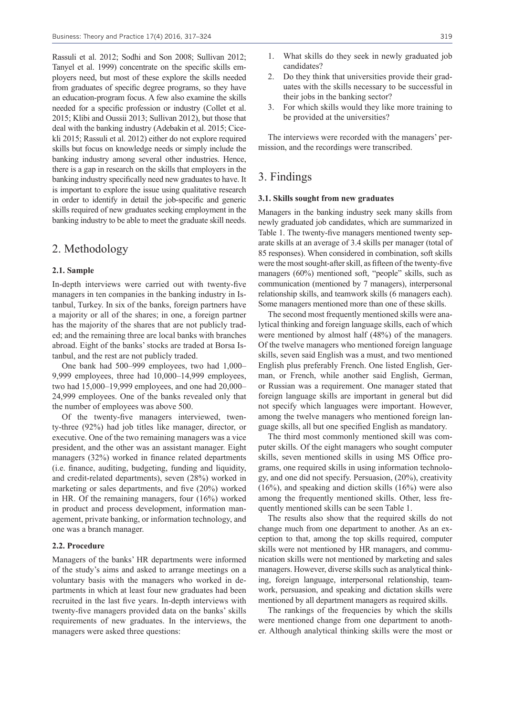Rassuli et al. 2012; Sodhi and Son 2008; Sullivan 2012; Tanyel et al. 1999) concentrate on the specific skills employers need, but most of these explore the skills needed from graduates of specific degree programs, so they have an education-program focus. A few also examine the skills needed for a specific profession or industry (Collet et al. 2015; Klibi and Oussii 2013; Sullivan 2012), but those that deal with the banking industry (Adebakin et al. 2015; Cicekli 2015; Rassuli et al. 2012) either do not explore required skills but focus on knowledge needs or simply include the banking industry among several other industries. Hence, there is a gap in research on the skills that employers in the banking industry specifically need new graduates to have. It is important to explore the issue using qualitative research in order to identify in detail the job-specific and generic skills required of new graduates seeking employment in the banking industry to be able to meet the graduate skill needs.

### 2. Methodology

#### **2.1. Sample**

In-depth interviews were carried out with twenty-five managers in ten companies in the banking industry in Istanbul, Turkey. In six of the banks, foreign partners have a majority or all of the shares; in one, a foreign partner has the majority of the shares that are not publicly traded; and the remaining three are local banks with branches abroad. Eight of the banks' stocks are traded at Borsa Istanbul, and the rest are not publicly traded.

One bank had 500–999 employees, two had 1,000– 9,999 employees, three had 10,000–14,999 employees, two had 15,000–19,999 employees, and one had 20,000– 24,999 employees. One of the banks revealed only that the number of employees was above 500.

Of the twenty-five managers interviewed, twenty-three (92%) had job titles like manager, director, or executive. One of the two remaining managers was a vice president, and the other was an assistant manager. Eight managers (32%) worked in finance related departments (i.e. finance, auditing, budgeting, funding and liquidity, and credit-related departments), seven (28%) worked in marketing or sales departments, and five (20%) worked in HR. Of the remaining managers, four (16%) worked in product and process development, information management, private banking, or information technology, and one was a branch manager.

#### **2.2. Procedure**

Managers of the banks' HR departments were informed of the study's aims and asked to arrange meetings on a voluntary basis with the managers who worked in departments in which at least four new graduates had been recruited in the last five years. In-depth interviews with twenty-five managers provided data on the banks' skills requirements of new graduates. In the interviews, the managers were asked three questions:

- 1. What skills do they seek in newly graduated job candidates?
- 2. Do they think that universities provide their graduates with the skills necessary to be successful in their jobs in the banking sector?
- 3. For which skills would they like more training to be provided at the universities?

The interviews were recorded with the managers' permission, and the recordings were transcribed.

### 3. Findings

#### **3.1. Skills sought from new graduates**

Managers in the banking industry seek many skills from newly graduated job candidates, which are summarized in Table 1. The twenty-five managers mentioned twenty separate skills at an average of 3.4 skills per manager (total of 85 responses). When considered in combination, soft skills were the most sought-after skill, as fifteen of the twenty-five managers (60%) mentioned soft, "people" skills, such as communication (mentioned by 7 managers), interpersonal relationship skills, and teamwork skills (6 managers each). Some managers mentioned more than one of these skills.

The second most frequently mentioned skills were analytical thinking and foreign language skills, each of which were mentioned by almost half (48%) of the managers. Of the twelve managers who mentioned foreign language skills, seven said English was a must, and two mentioned English plus preferably French. One listed English, German, or French, while another said English, German, or Russian was a requirement. One manager stated that foreign language skills are important in general but did not specify which languages were important. However, among the twelve managers who mentioned foreign language skills, all but one specified English as mandatory.

The third most commonly mentioned skill was computer skills. Of the eight managers who sought computer skills, seven mentioned skills in using MS Office programs, one required skills in using information technology, and one did not specify. Persuasion, (20%), creativity (16%), and speaking and diction skills (16%) were also among the frequently mentioned skills. Other, less frequently mentioned skills can be seen Table 1.

The results also show that the required skills do not change much from one department to another. As an exception to that, among the top skills required, computer skills were not mentioned by HR managers, and communication skills were not mentioned by marketing and sales managers. However, diverse skills such as analytical thinking, foreign language, interpersonal relationship, teamwork, persuasion, and speaking and dictation skills were mentioned by all department managers as required skills.

The rankings of the frequencies by which the skills were mentioned change from one department to another. Although analytical thinking skills were the most or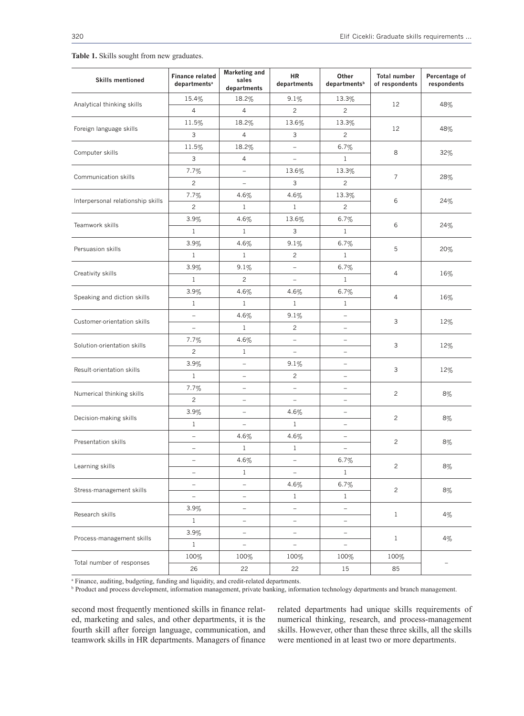| <b>Skills mentioned</b>           | <b>Finance related</b><br>departments <sup>a</sup> | <b>Marketing and</b><br>sales<br>departments | <b>HR</b><br>departments | Other<br>departments <sup>b</sup> | <b>Total number</b><br>of respondents | Percentage of<br>respondents |  |  |
|-----------------------------------|----------------------------------------------------|----------------------------------------------|--------------------------|-----------------------------------|---------------------------------------|------------------------------|--|--|
| Analytical thinking skills        | 15.4%                                              | 18.2%                                        | 9.1%                     | 13.3%                             | 12                                    | 48%                          |  |  |
|                                   | $\overline{4}$                                     | 4                                            | 2                        | $\overline{c}$                    |                                       |                              |  |  |
| Foreign language skills           | 11.5%                                              | 18.2%                                        | 13.6%                    | 13.3%                             | 12                                    | 48%                          |  |  |
|                                   | 3                                                  | 4                                            | 3                        | $\mathbf{2}^{\prime}$             |                                       |                              |  |  |
| Computer skills                   | 11.5%                                              | 18.2%                                        |                          | 6.7%                              | 8                                     | 32%                          |  |  |
|                                   | 3                                                  | $\overline{4}$                               |                          | $\mathbf{1}$                      |                                       |                              |  |  |
| Communication skills              | $7.7\%$                                            | -                                            | 13.6%                    | 13.3%                             | $\overline{7}$                        | 28%                          |  |  |
|                                   | $\overline{c}$                                     | $\qquad \qquad -$                            | 3                        | 2                                 |                                       |                              |  |  |
| Interpersonal relationship skills | 7.7%                                               | 4.6%                                         | $4.6\%$                  | 13.3%                             | 6                                     | 24%                          |  |  |
|                                   | $\mathbf{2}^{\prime}$                              | $\mathbf{1}$                                 | $\mathbf{1}$             | $\overline{c}$                    |                                       |                              |  |  |
|                                   | 3.9%                                               | 4.6%                                         | 13.6%                    | $6.7\%$                           |                                       |                              |  |  |
| Teamwork skills                   | $\mathbf{1}$                                       | $\mathbf{1}$                                 | 3                        | $\mathbf{1}$                      | 6                                     | 24%                          |  |  |
|                                   | 3.9%                                               | 4.6%                                         | 9.1%                     | 6.7%                              |                                       | 20%                          |  |  |
| Persuasion skills                 | $\mathbf{1}$                                       | $\mathbf{1}$                                 | $\overline{c}$           | $\mathbf{1}$                      | 5                                     |                              |  |  |
| Creativity skills                 | 3.9%                                               | 9.1%                                         | $\equiv$                 | $6.7\%$                           |                                       | 16%                          |  |  |
|                                   | $\mathbf{1}$                                       | $\overline{c}$                               | $\overline{\phantom{a}}$ | $\mathbf{1}$                      | 4                                     |                              |  |  |
|                                   | 3.9%                                               | 4.6%                                         | 4.6%                     | 6.7%                              | 4                                     | 16%                          |  |  |
| Speaking and diction skills       | $\mathbf{1}$                                       | $\mathbf{1}$                                 | $\mathbf{1}$             | $\mathbf{1}$                      |                                       |                              |  |  |
|                                   | $\overline{\phantom{0}}$                           | 4.6%                                         | 9.1%                     | $\overline{\phantom{0}}$          | 3                                     | 12%                          |  |  |
| Customer-orientation skills       | $\overline{\phantom{0}}$                           | $\mathbf{1}$                                 | $\overline{2}$           | $\overline{\phantom{a}}$          |                                       |                              |  |  |
|                                   | 7.7%                                               | 4.6%                                         | $\overline{\phantom{a}}$ | $\overline{\phantom{a}}$          | 3                                     | 12%                          |  |  |
| Solution-orientation skills       | $\mathbf{2}^{\prime}$                              | $\mathbf{1}$                                 | $\equiv$                 | $\overline{\phantom{a}}$          |                                       |                              |  |  |
| Result-orientation skills         | $3.9\%$                                            | $\overline{\phantom{0}}$                     | 9.1%                     | $\equiv$                          | 3                                     | 12%                          |  |  |
|                                   | $\mathbf{1}$                                       | $\overline{\phantom{0}}$                     | $\overline{c}$           | $\equiv$                          |                                       |                              |  |  |
|                                   | $7.7\%$                                            | -                                            | $\overline{\phantom{a}}$ | $\overline{\phantom{a}}$          |                                       | 8%                           |  |  |
| Numerical thinking skills         | $\overline{2}$                                     | $\overline{\phantom{0}}$                     | $\equiv$                 | $\equiv$                          | 2                                     |                              |  |  |
| Decision-making skills            | 3.9%                                               | -                                            | 4.6%                     | $\overline{\phantom{0}}$          | $\overline{c}$                        | 8%                           |  |  |
|                                   | $\mathbf{1}$                                       | -                                            | 1                        | $\overline{\phantom{0}}$          |                                       |                              |  |  |
| Presentation skills               | -                                                  | $4.6\%$                                      | 4.6%                     | $\overline{\phantom{a}}$          | $\mathbf{2}$                          | 8%                           |  |  |
|                                   | $\qquad \qquad -$                                  | $\mathbf{1}$                                 | $\mathbf{1}$             | $\overline{\phantom{m}}$          |                                       |                              |  |  |
| Learning skills                   |                                                    | 4.6%                                         | $\qquad \qquad -$        | 6.7%                              | $\overline{c}$                        | $8\%$                        |  |  |
|                                   | $\qquad \qquad -$                                  | $\mathbf{1}$                                 | $\overline{\phantom{a}}$ | $1\,$                             |                                       |                              |  |  |
| Stress-management skills          | -                                                  | -                                            | 4.6%                     | 6.7%                              | $\overline{c}$                        | $8\%$                        |  |  |
|                                   | $\overline{\phantom{0}}$                           | $\qquad \qquad -$                            | $\mathbf{1}$             | $\mathbf{1}$                      |                                       |                              |  |  |
| Research skills                   | 3.9%                                               | -                                            | $\frac{1}{2}$            | $\overline{\phantom{a}}$          | $\mathbf{1}$                          | $4\%$                        |  |  |
|                                   | $\mathbf{1}$                                       | -                                            | $\overline{\phantom{0}}$ | $\qquad \qquad -$                 |                                       |                              |  |  |
| Process-management skills         | 3.9%                                               | $\overline{\phantom{0}}$                     | $\qquad \qquad -$        | $\frac{1}{\sqrt{2}}$              | $\mathbf{1}$                          | $4\%$                        |  |  |
|                                   | $\mathbf{1}$                                       | $\qquad \qquad -$                            | $\frac{1}{\sqrt{2}}$     | $\frac{1}{\sqrt{2}}$              |                                       |                              |  |  |
|                                   | 100%                                               | 100%                                         | 100%                     | 100%                              | 100%                                  |                              |  |  |
| Total number of responses         | 26                                                 | 22                                           | 22                       | 15                                | 85                                    |                              |  |  |

**Table 1.** Skills sought from new graduates.

<sup>a</sup> Finance, auditing, budgeting, funding and liquidity, and credit-related departments.

<sup>b</sup> Product and process development, information management, private banking, information technology departments and branch management.

second most frequently mentioned skills in finance related, marketing and sales, and other departments, it is the fourth skill after foreign language, communication, and teamwork skills in HR departments. Managers of finance

related departments had unique skills requirements of numerical thinking, research, and process-management skills. However, other than these three skills, all the skills were mentioned in at least two or more departments.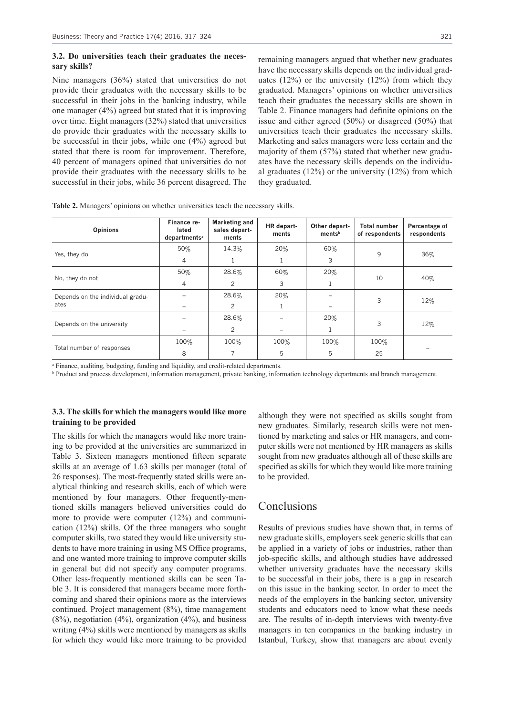#### **3.2. Do universities teach their graduates the necessary skills?**

Nine managers (36%) stated that universities do not provide their graduates with the necessary skills to be successful in their jobs in the banking industry, while one manager (4%) agreed but stated that it is improving over time. Eight managers (32%) stated that universities do provide their graduates with the necessary skills to be successful in their jobs, while one (4%) agreed but stated that there is room for improvement. Therefore, 40 percent of managers opined that universities do not provide their graduates with the necessary skills to be successful in their jobs, while 36 percent disagreed. The

remaining managers argued that whether new graduates have the necessary skills depends on the individual graduates  $(12\%)$  or the university  $(12\%)$  from which they graduated. Managers' opinions on whether universities teach their graduates the necessary skills are shown in Table 2. Finance managers had definite opinions on the issue and either agreed (50%) or disagreed (50%) that universities teach their graduates the necessary skills. Marketing and sales managers were less certain and the majority of them (57%) stated that whether new graduates have the necessary skills depends on the individual graduates  $(12%)$  or the university  $(12%)$  from which they graduated.

| <b>Opinions</b>                  | Finance re-<br>lated<br>departments <sup>a</sup> | <b>Marketing and</b><br>sales depart-<br>ments | HR depart-<br>ments | Other depart-<br>ments <sup>b</sup> | <b>Total number</b><br>of respondents | Percentage of<br>respondents |
|----------------------------------|--------------------------------------------------|------------------------------------------------|---------------------|-------------------------------------|---------------------------------------|------------------------------|
|                                  | 50%                                              | 14.3%                                          | 20%                 | 60%                                 | 9                                     | 36%                          |
| Yes, they do                     | $\overline{4}$                                   |                                                |                     | 3                                   |                                       |                              |
|                                  | 50%                                              | 28.6%                                          | 60%                 | 20%                                 | 10                                    | 40%                          |
| No, they do not                  | $\overline{4}$                                   | 2                                              | 3                   |                                     |                                       |                              |
| Depends on the individual gradu- |                                                  | 28.6%                                          | 20%                 |                                     | 3                                     | 12%                          |
| ates                             |                                                  | 2                                              |                     |                                     |                                       |                              |
| Depends on the university        |                                                  | 28.6%                                          |                     | 20%                                 | 3                                     | 12%                          |
|                                  |                                                  | $\overline{2}$                                 |                     |                                     |                                       |                              |
|                                  | 100%                                             | 100%                                           | 100%                | 100%                                | 100%                                  |                              |
| Total number of responses        | 8                                                |                                                | 5                   | 5                                   | 25                                    |                              |

**Table 2.** Managers' opinions on whether universities teach the necessary skills.

<sup>a</sup> Finance, auditing, budgeting, funding and liquidity, and credit-related departments.

<sup>b</sup> Product and process development, information management, private banking, information technology departments and branch management.

#### **3.3. The skills for which the managers would like more training to be provided**

The skills for which the managers would like more training to be provided at the universities are summarized in Table 3. Sixteen managers mentioned fifteen separate skills at an average of 1.63 skills per manager (total of 26 responses). The most-frequently stated skills were analytical thinking and research skills, each of which were mentioned by four managers. Other frequently-mentioned skills managers believed universities could do more to provide were computer (12%) and communication (12%) skills. Of the three managers who sought computer skills, two stated they would like university students to have more training in using MS Office programs, and one wanted more training to improve computer skills in general but did not specify any computer programs. Other less-frequently mentioned skills can be seen Table 3. It is considered that managers became more forthcoming and shared their opinions more as the interviews continued. Project management (8%), time management (8%), negotiation (4%), organization (4%), and business writing (4%) skills were mentioned by managers as skills for which they would like more training to be provided

although they were not specified as skills sought from new graduates. Similarly, research skills were not mentioned by marketing and sales or HR managers, and computer skills were not mentioned by HR managers as skills sought from new graduates although all of these skills are specified as skills for which they would like more training to be provided.

### **Conclusions**

Results of previous studies have shown that, in terms of new graduate skills, employers seek generic skills that can be applied in a variety of jobs or industries, rather than job-specific skills, and although studies have addressed whether university graduates have the necessary skills to be successful in their jobs, there is a gap in research on this issue in the banking sector. In order to meet the needs of the employers in the banking sector, university students and educators need to know what these needs are. The results of in-depth interviews with twenty-five managers in ten companies in the banking industry in Istanbul, Turkey, show that managers are about evenly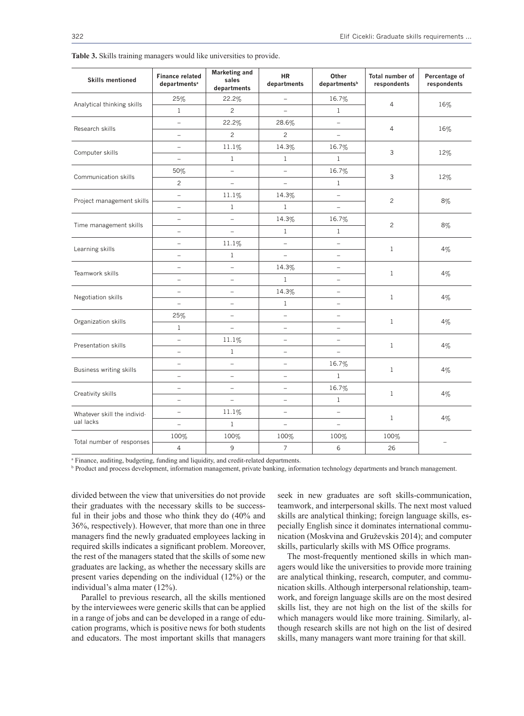| <b>Skills mentioned</b>                  | <b>Finance related</b><br>departments <sup>a</sup> | <b>Marketing and</b><br>sales<br>departments | <b>HR</b><br>departments | Other<br>departments <sup>b</sup> | Total number of<br>respondents | Percentage of<br>respondents |
|------------------------------------------|----------------------------------------------------|----------------------------------------------|--------------------------|-----------------------------------|--------------------------------|------------------------------|
| Analytical thinking skills               | 25%                                                | 22.2%                                        | $\equiv$                 | 16.7%                             | $\overline{4}$                 | 16%                          |
|                                          | $\mathbf{1}$                                       | $\overline{c}$                               | $\equiv$                 | $\mathbf{1}$                      |                                |                              |
| Research skills                          | $\overline{\phantom{0}}$                           | 22.2%                                        | 28.6%                    | $\overline{\phantom{0}}$          | $\overline{4}$                 | 16%                          |
|                                          | L,                                                 | $\overline{c}$                               | $\overline{c}$           | $\equiv$                          |                                |                              |
| Computer skills                          | $\equiv$                                           | 11.1%                                        | 14.3%                    | 16.7%                             | 3                              | 12%                          |
|                                          | $\overline{\phantom{0}}$                           | $\mathbf{1}$                                 | $\mathbf{1}$             | $\mathbf{1}$                      |                                |                              |
| Communication skills                     | 50%                                                | $\equiv$                                     | $\equiv$                 | 16.7%                             | 3                              | 12%                          |
|                                          | $\overline{c}$                                     | $\equiv$                                     | $\equiv$                 | $\mathbf{1}$                      |                                |                              |
| Project management skills                | $\equiv$                                           | 11.1%                                        | 14.3%                    | $\equiv$                          | $\overline{c}$                 | 8%                           |
|                                          | $\equiv$                                           | $1\,$                                        | $\mathbf 1$              | $\equiv$                          |                                |                              |
| Time management skills                   | $\overline{\phantom{0}}$                           | $\equiv$                                     | 14.3%                    | 16.7%                             | $\overline{c}$                 | 8%                           |
|                                          | $\overline{\phantom{0}}$                           | $\equiv$                                     | $\mathbf{1}$             | $\mathbf{1}$                      |                                |                              |
|                                          | $\equiv$                                           | 11.1%                                        | $\equiv$                 | $\overline{\phantom{0}}$          | $\mathbf{1}$                   | 4%                           |
| Learning skills                          | $\equiv$                                           | $1\,$                                        | $\equiv$                 | $\equiv$                          |                                |                              |
| Teamwork skills                          | $\overline{\phantom{0}}$                           | $\equiv$                                     | 14.3%                    | $\equiv$                          | $\mathbf{1}$                   | 4%                           |
|                                          | $\equiv$                                           | $\equiv$                                     | $\mathbf 1$              | $\equiv$                          |                                |                              |
| Negotiation skills                       | $\qquad \qquad -$                                  | $\equiv$                                     | 14.3%                    | $\qquad \qquad =$                 | $\mathbf{1}$                   | 4%                           |
|                                          | $\equiv$                                           | $\equiv$                                     | $\mathbf{1}$             | $\equiv$                          |                                |                              |
| Organization skills                      | 25%                                                | $\qquad \qquad -$                            | $\overline{\phantom{0}}$ | $\qquad \qquad -$                 | $\mathbf{1}$                   | 4%                           |
|                                          | $\mathbf{1}$                                       | $\overline{a}$                               | $\equiv$                 | $\equiv$                          |                                |                              |
| Presentation skills                      | $\equiv$                                           | 11.1%                                        | $\equiv$                 | $\equiv$                          | $\mathbf{1}$                   | $4\%$                        |
|                                          | $\equiv$                                           | $\mathbf{1}$                                 | $\equiv$                 |                                   |                                |                              |
| <b>Business writing skills</b>           | $\equiv$                                           | $\qquad \qquad -$                            | $\equiv$                 | 16.7%                             | $\mathbf{1}$                   | 4%                           |
|                                          | $\overline{a}$                                     | $\equiv$                                     | $\equiv$                 | $\mathbf{1}$                      |                                |                              |
| Creativity skills                        | $\overline{\phantom{0}}$                           | $\bar{ }$                                    | $\equiv$                 | 16.7%                             | $\mathbf{1}$                   | 4%                           |
|                                          | $\overline{\phantom{0}}$                           | $\overline{\phantom{a}}$                     | $\qquad \qquad -$        | $1\,$                             |                                |                              |
| Whatever skill the individ-<br>ual lacks | $\overline{a}$                                     | 11.1%                                        | $\equiv$                 | $\overline{a}$                    | $\mathbf{1}$                   | 4%                           |
|                                          | $\overline{\phantom{0}}$                           | $\mathbf{1}$                                 | $\overline{\phantom{0}}$ |                                   |                                |                              |
| Total number of responses                | 100%                                               | 100%                                         | 100%                     | 100%                              | 100%                           | $\overline{\phantom{0}}$     |
|                                          | $\overline{4}$                                     | 9                                            | $\overline{7}$           | 6                                 | 26                             |                              |

**Table 3.** Skills training managers would like universities to provide.

<sup>a</sup> Finance, auditing, budgeting, funding and liquidity, and credit-related departments.

**Product and process development, information management, private banking, information technology departments and branch management.** 

divided between the view that universities do not provide their graduates with the necessary skills to be successful in their jobs and those who think they do (40% and 36%, respectively). However, that more than one in three managers find the newly graduated employees lacking in required skills indicates a significant problem. Moreover, the rest of the managers stated that the skills of some new graduates are lacking, as whether the necessary skills are present varies depending on the individual (12%) or the individual's alma mater (12%).

Parallel to previous research, all the skills mentioned by the interviewees were generic skills that can be applied in a range of jobs and can be developed in a range of education programs, which is positive news for both students and educators. The most important skills that managers seek in new graduates are soft skills-communication, teamwork, and interpersonal skills. The next most valued skills are analytical thinking; foreign language skills, especially English since it dominates international communication (Moskvina and Gruževskis 2014); and computer skills, particularly skills with MS Office programs.

The most-frequently mentioned skills in which managers would like the universities to provide more training are analytical thinking, research, computer, and communication skills. Although interpersonal relationship, teamwork, and foreign language skills are on the most desired skills list, they are not high on the list of the skills for which managers would like more training. Similarly, although research skills are not high on the list of desired skills, many managers want more training for that skill.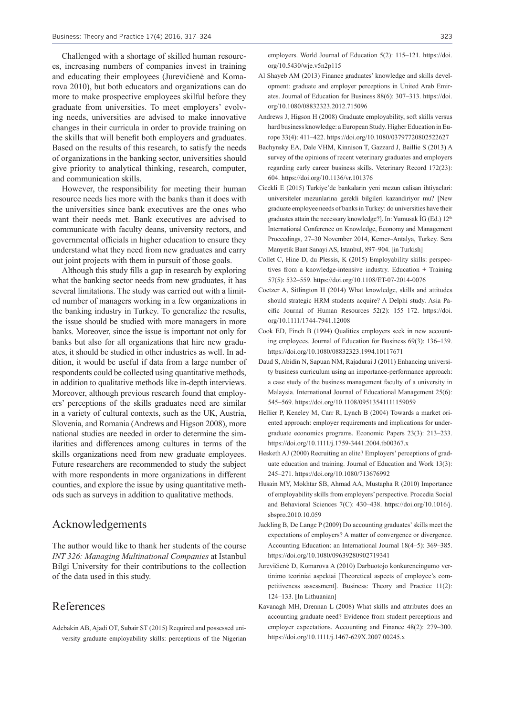Challenged with a shortage of skilled human resources, increasing numbers of companies invest in training and educating their employees (Jurevičienė and Komarova 2010), but both educators and organizations can do more to make prospective employees skilful before they graduate from universities. To meet employers' evolving needs, universities are advised to make innovative changes in their curricula in order to provide training on the skills that will benefit both employers and graduates. Based on the results of this research, to satisfy the needs of organizations in the banking sector, universities should give priority to analytical thinking, research, computer, and communication skills.

However, the responsibility for meeting their human resource needs lies more with the banks than it does with the universities since bank executives are the ones who want their needs met. Bank executives are advised to communicate with faculty deans, university rectors, and governmental officials in higher education to ensure they understand what they need from new graduates and carry out joint projects with them in pursuit of those goals.

Although this study fills a gap in research by exploring what the banking sector needs from new graduates, it has several limitations. The study was carried out with a limited number of managers working in a few organizations in the banking industry in Turkey. To generalize the results, the issue should be studied with more managers in more banks. Moreover, since the issue is important not only for banks but also for all organizations that hire new graduates, it should be studied in other industries as well. In addition, it would be useful if data from a large number of respondents could be collected using quantitative methods, in addition to qualitative methods like in-depth interviews. Moreover, although previous research found that employers' perceptions of the skills graduates need are similar in a variety of cultural contexts, such as the UK, Austria, Slovenia, and Romania (Andrews and Higson 2008), more national studies are needed in order to determine the similarities and differences among cultures in terms of the skills organizations need from new graduate employees. Future researchers are recommended to study the subject with more respondents in more organizations in different counties, and explore the issue by using quantitative methods such as surveys in addition to qualitative methods.

### Acknowledgements

The author would like to thank her students of the course *INT 326: Managing Multinational Companies* at Istanbul Bilgi University for their contributions to the collection of the data used in this study.

### References

Adebakin AB, Ajadi OT, Subair ST (2015) Required and possessed university graduate employability skills: perceptions of the Nigerian

- Al Shayeb AM (2013) Finance graduates' knowledge and skills development: graduate and employer perceptions in United Arab Emirates. Journal of Education for Business 88(6): 307–313. https://doi. org/10.1080/08832323.2012.715096
- Andrews J, Higson H (2008) Graduate employability, soft skills versus hard business knowledge: a European Study. Higher Education in Europe 33(4): 411–422. https://doi.org/10.1080/03797720802522627
- Bachynsky EA, Dale VHM, Kinnison T, Gazzard J, Baillie S (2013) A survey of the opinions of recent veterinary graduates and employers regarding early career business skills. Veterinary Record 172(23): 604. https://doi.org/10.1136/vr.101376
- Cicekli E (2015) Turkiye'de bankalarin yeni mezun calisan ihtiyaclari: universiteler mezunlarina gerekli bilgileri kazandiriyor mu? [New graduate employee needs of banks in Turkey: do universities have their graduates attain the necessary knowledge?]. In: Yumusak İG (Ed.) 12<sup>th</sup> International Conference on Knowledge, Economy and Management Proceedings, 27–30 November 2014, Kemer–Antalya, Turkey. Sera Manyetik Bant Sanayi AS, Istanbul, 897–904. [in Turkish]
- Collet C, Hine D, du Plessis, K (2015) Employability skills: perspectives from a knowledge-intensive industry. Education + Training 57(5): 532–559. https://doi.org/10.1108/ET-07-2014-0076
- Coetzer A, Sitlington H (2014) What knowledge, skills and attitudes should strategic HRM students acquire? A Delphi study. Asia Pacific Journal of Human Resources 52(2): 155–172. https://doi. org/10.1111/1744-7941.12008
- Cook ED, Finch B (1994) Qualities employers seek in new accounting employees. Journal of Education for Business 69(3): 136–139. https://doi.org/10.1080/08832323.1994.10117671
- Daud S, Abidin N, Sapuan NM, Rajadurai J (2011) Enhancing university business curriculum using an importance-performance approach: a case study of the business management faculty of a university in Malaysia. International Journal of Educational Management 25(6): 545–569. https://doi.org/10.1108/09513541111159059
- Hellier P, Keneley M, Carr R, Lynch B (2004) Towards a market oriented approach: employer requirements and implications for undergraduate economics programs. Economic Papers 23(3): 213–233. https://doi.org/10.1111/j.1759-3441.2004.tb00367.x
- Hesketh AJ (2000) Recruiting an elite? Employers' perceptions of graduate education and training. Journal of Education and Work 13(3): 245–271. https://doi.org/10.1080/713676992
- Husain MY, Mokhtar SB, Ahmad AA, Mustapha R (2010) Importance of employability skills from employers' perspective. Procedia Social and Behavioral Sciences 7(C): 430–438. https://doi.org/10.1016/j. sbspro.2010.10.059
- Jackling B, De Lange P (2009) Do accounting graduates' skills meet the expectations of employers? A matter of convergence or divergence. Accounting Education: an International Journal 18(4–5): 369–385. https://doi.org/10.1080/09639280902719341
- Jurevičienė D, Komarova A (2010) Darbuotojo konkurencingumo vertinimo teoriniai aspektai [Theoretical aspects of employee's competitiveness assessment]. Business: Theory and Practice 11(2): 124–133. [In Lithuanian]
- Kavanagh MH, Drennan L (2008) What skills and attributes does an accounting graduate need? Evidence from student perceptions and employer expectations. Accounting and Finance 48(2): 279–300. https://doi.org/10.1111/j.1467-629X.2007.00245.x